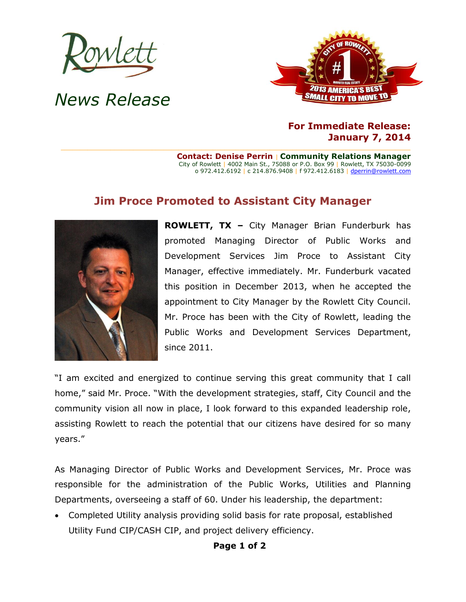

## *News Release*



## **For Immediate Release: January 7, 2014**

**Contact: Denise Perrin** | **Community Relations Manager** City of Rowlett | 4002 Main St., 75088 or P.O. Box 99 | Rowlett, TX 75030-0099 o 972.412.6192 | c 214.876.9408 | f 972.412.6183 [| dperrin@rowlett.com](mailto:dperrin@rowlett.com)

## **Jim Proce Promoted to Assistant City Manager**



**ROWLETT, TX –** City Manager Brian Funderburk has promoted Managing Director of Public Works and Development Services Jim Proce to Assistant City Manager, effective immediately. Mr. Funderburk vacated this position in December 2013, when he accepted the appointment to City Manager by the Rowlett City Council. Mr. Proce has been with the City of Rowlett, leading the Public Works and Development Services Department, since 2011.

"I am excited and energized to continue serving this great community that I call home," said Mr. Proce. "With the development strategies, staff, City Council and the community vision all now in place, I look forward to this expanded leadership role, assisting Rowlett to reach the potential that our citizens have desired for so many years."

As Managing Director of Public Works and Development Services, Mr. Proce was responsible for the administration of the Public Works, Utilities and Planning Departments, overseeing a staff of 60. Under his leadership, the department:

 Completed Utility analysis providing solid basis for rate proposal, established Utility Fund CIP/CASH CIP, and project delivery efficiency.